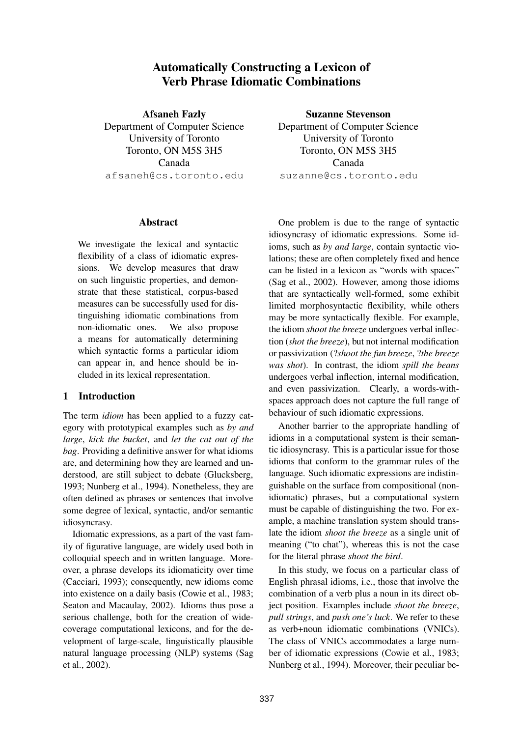# **Automatically Constructing a Lexicon of Verb Phrase Idiomatic Combinations**

**Afsaneh Fazly** Department of Computer Science University of Toronto Toronto, ON M5S 3H5 Canada afsaneh@cs.toronto.edu

#### **Abstract**

We investigate the lexical and syntactic flexibility of a class of idiomatic expressions. We develop measures that draw on such linguistic properties, and demonstrate that these statistical, corpus-based measures can be successfully used for distinguishing idiomatic combinations from non-idiomatic ones. We also propose a means for automatically determining which syntactic forms a particular idiom can appear in, and hence should be included in its lexical representation.

## **1 Introduction**

The term *idiom* has been applied to a fuzzy category with prototypical examples such as *by and large*, *kick the bucket*, and *let the cat out of the bag*. Providing a definitive answer for what idioms are, and determining how they are learned and understood, are still subject to debate (Glucksberg, 1993; Nunberg et al., 1994). Nonetheless, they are often defined as phrases or sentences that involve some degree of lexical, syntactic, and/or semantic idiosyncrasy.

Idiomatic expressions, as a part of the vast family of figurative language, are widely used both in colloquial speech and in written language. Moreover, a phrase develops its idiomaticity over time (Cacciari, 1993); consequently, new idioms come into existence on a daily basis (Cowie et al., 1983; Seaton and Macaulay, 2002). Idioms thus pose a serious challenge, both for the creation of widecoverage computational lexicons, and for the development of large-scale, linguistically plausible natural language processing (NLP) systems (Sag et al., 2002).

**Suzanne Stevenson** Department of Computer Science University of Toronto Toronto, ON M5S 3H5 Canada suzanne@cs.toronto.edu

One problem is due to the range of syntactic idiosyncrasy of idiomatic expressions. Some idioms, such as *by and large*, contain syntactic violations; these are often completely fixed and hence can be listed in a lexicon as "words with spaces" (Sag et al., 2002). However, among those idioms that are syntactically well-formed, some exhibit limited morphosyntactic flexibility, while others may be more syntactically flexible. For example, the idiom *shoot the breeze* undergoes verbal inflection (*shot the breeze*), but not internal modification or passivization (?*shoot the fun breeze*, ?*the breeze was shot*). In contrast, the idiom *spill the beans* undergoes verbal inflection, internal modification, and even passivization. Clearly, a words-withspaces approach does not capture the full range of behaviour of such idiomatic expressions.

Another barrier to the appropriate handling of idioms in a computational system is their semantic idiosyncrasy. This is a particular issue for those idioms that conform to the grammar rules of the language. Such idiomatic expressions are indistinguishable on the surface from compositional (nonidiomatic) phrases, but a computational system must be capable of distinguishing the two. For example, a machine translation system should translate the idiom *shoot the breeze* as a single unit of meaning ("to chat"), whereas this is not the case for the literal phrase *shoot the bird*.

In this study, we focus on a particular class of English phrasal idioms, i.e., those that involve the combination of a verb plus a noun in its direct object position. Examples include *shoot the breeze*, *pull strings*, and *push one's luck*. We refer to these as verb+noun idiomatic combinations (VNICs). The class of VNICs accommodates a large number of idiomatic expressions (Cowie et al., 1983; Nunberg et al., 1994). Moreover, their peculiar be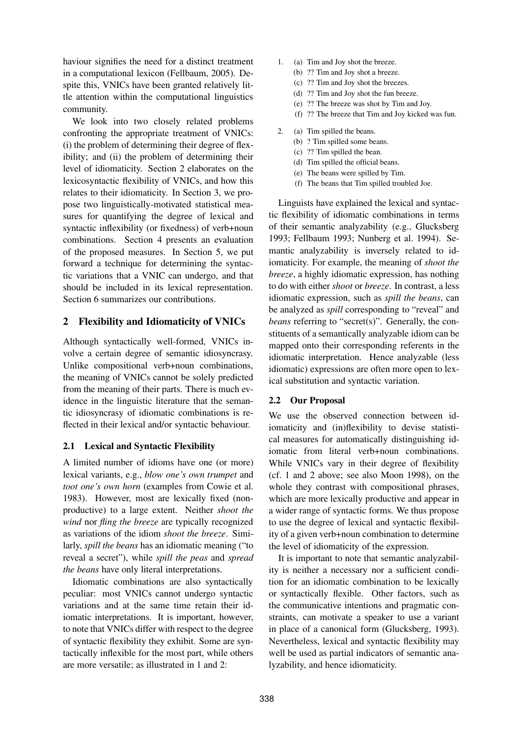haviour signifies the need for a distinct treatment in a computational lexicon (Fellbaum, 2005). Despite this, VNICs have been granted relatively little attention within the computational linguistics community.

We look into two closely related problems confronting the appropriate treatment of VNICs: (i) the problem of determining their degree of flexibility; and (ii) the problem of determining their level of idiomaticity. Section 2 elaborates on the lexicosyntactic flexibility of VNICs, and how this relates to their idiomaticity. In Section 3, we propose two linguistically-motivated statistical measures for quantifying the degree of lexical and syntactic inflexibility (or fixedness) of verb+noun combinations. Section 4 presents an evaluation of the proposed measures. In Section 5, we put forward a technique for determining the syntactic variations that a VNIC can undergo, and that should be included in its lexical representation. Section 6 summarizes our contributions.

## **2 Flexibility and Idiomaticity of VNICs**

Although syntactically well-formed, VNICs involve a certain degree of semantic idiosyncrasy. Unlike compositional verb+noun combinations, the meaning of VNICs cannot be solely predicted from the meaning of their parts. There is much evidence in the linguistic literature that the semantic idiosyncrasy of idiomatic combinations is reflected in their lexical and/or syntactic behaviour.

## **2.1 Lexical and Syntactic Flexibility**

A limited number of idioms have one (or more) lexical variants, e.g., *blow one's own trumpet* and *toot one's own horn* (examples from Cowie et al. 1983). However, most are lexically fixed (nonproductive) to a large extent. Neither *shoot the wind* nor *fling the breeze* are typically recognized as variations of the idiom *shoot the breeze*. Similarly, *spill the beans* has an idiomatic meaning ("to reveal a secret"), while *spill the peas* and *spread the beans* have only literal interpretations.

Idiomatic combinations are also syntactically peculiar: most VNICs cannot undergo syntactic variations and at the same time retain their idiomatic interpretations. It is important, however, to note that VNICs differ with respect to the degree of syntactic flexibility they exhibit. Some are syntactically inflexible for the most part, while others are more versatile; as illustrated in 1 and 2:

- 1. (a) Tim and Joy shot the breeze.
	- (b) ?? Tim and Joy shot a breeze.
	- (c) ?? Tim and Joy shot the breezes.
	- (d) ?? Tim and Joy shot the fun breeze.
	- (e) ?? The breeze was shot by Tim and Joy.
	- (f) ?? The breeze that Tim and Joy kicked was fun.
- 2. (a) Tim spilled the beans.
	- (b) ? Tim spilled some beans.
	- (c) ?? Tim spilled the bean.
	- (d) Tim spilled the official beans.
	- (e) The beans were spilled by Tim.
	- (f) The beans that Tim spilled troubled Joe.

Linguists have explained the lexical and syntactic flexibility of idiomatic combinations in terms of their semantic analyzability (e.g., Glucksberg 1993; Fellbaum 1993; Nunberg et al. 1994). Semantic analyzability is inversely related to idiomaticity. For example, the meaning of *shoot the breeze*, a highly idiomatic expression, has nothing to do with either *shoot* or *breeze*. In contrast, a less idiomatic expression, such as *spill the beans*, can be analyzed as *spill* corresponding to "reveal" and *beans* referring to "secret(s)". Generally, the constituents of a semantically analyzable idiom can be mapped onto their corresponding referents in the idiomatic interpretation. Hence analyzable (less idiomatic) expressions are often more open to lexical substitution and syntactic variation.

## **2.2 Our Proposal**

We use the observed connection between idiomaticity and (in)flexibility to devise statistical measures for automatically distinguishing idiomatic from literal verb+noun combinations. While VNICs vary in their degree of flexibility (cf. 1 and 2 above; see also Moon 1998), on the whole they contrast with compositional phrases, which are more lexically productive and appear in a wider range of syntactic forms. We thus propose to use the degree of lexical and syntactic flexibility of a given verb+noun combination to determine the level of idiomaticity of the expression.

It is important to note that semantic analyzability is neither a necessary nor a sufficient condition for an idiomatic combination to be lexically or syntactically flexible. Other factors, such as the communicative intentions and pragmatic constraints, can motivate a speaker to use a variant in place of a canonical form (Glucksberg, 1993). Nevertheless, lexical and syntactic flexibility may well be used as partial indicators of semantic analyzability, and hence idiomaticity.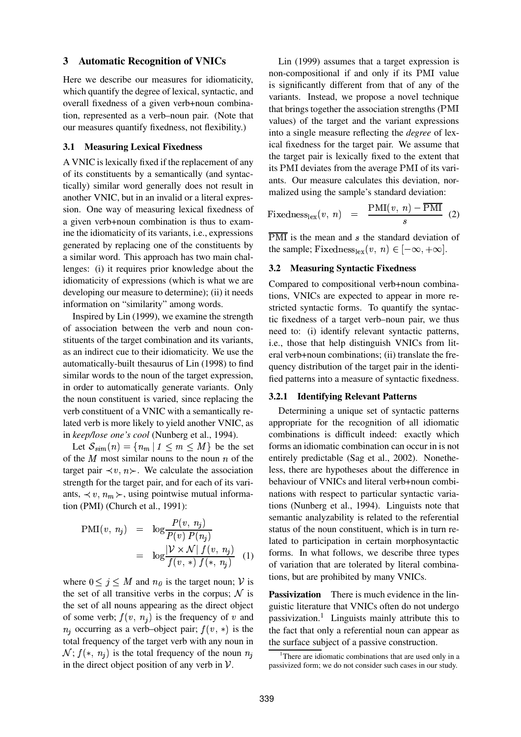## **3 Automatic Recognition of VNICs**

Here we describe our measures for idiomaticity, which quantify the degree of lexical, syntactic, and overall fixedness of a given verb+noun combination, represented as a verb–noun pair. (Note that our measures quantify fixedness, not flexibility.)

#### **3.1 Measuring Lexical Fixedness**

A VNIC is lexically fixed if the replacement of any of its constituents by a semantically (and syntactically) similar word generally does not result in another VNIC, but in an invalid or a literal expression. One way of measuring lexical fixedness of a given verb+noun combination is thus to examine the idiomaticity of its variants, i.e., expressions generated by replacing one of the constituents by a similar word. This approach has two main challenges: (i) it requires prior knowledge about the idiomaticity of expressions (which is what we are developing our measure to determine); (ii) it needs information on "similarity" among words.

Inspired by Lin (1999), we examine the strength of association between the verb and noun constituents of the target combination and its variants, as an indirect cue to their idiomaticity. We use the automatically-built thesaurus of Lin (1998) to find similar words to the noun of the target expression, in order to automatically generate variants. Only the noun constituent is varied, since replacing the verb constituent of a VNIC with a semantically related verb is more likely to yield another VNIC, as in *keep/lose one's cool* (Nunberg et al., 1994).

Let  $S_{sim}(n) = \{n_m | 1 \leq m \leq M\}$  be the set of the  $M$  most similar nouns to the noun  $n$  of the target pair  $\prec v, n \succ$ . We calculate the association strength for the target pair, and for each of its variants,  $\prec v$ ,  $n_m \succ$ , using pointwise mutual information (PMI) (Church et al., 1991):

$$
\text{PMI}(v, n_j) = \log \frac{P(v, n_j)}{P(v) P(n_j)}
$$

$$
= \log \frac{|\mathcal{V} \times \mathcal{N}| f(v, n_j)}{f(v, *) f(*, n_j)} \quad (1)
$$

where  $0 \leq j \leq M$  and  $n_{\theta}$  is the target noun; V is the set of all transitive verbs in the corpus;  $\mathcal N$  is the set of all nouns appearing as the direct object of some verb;  $f(v, n_j)$  is the frequency of v and  $n_i$  occurring as a verb-object pair;  $f(v, *)$  is the total frequency of the target verb with any noun in  $\mathcal{N}; f(*, n_j)$  is the total frequency of the noun  $n_j$ in the direct object position of any verb in  $\mathcal V$ .

Lin (1999) assumes that a target expression is non-compositional if and only if its PMI value is significantly different from that of any of the variants. Instead, we propose a novel technique that brings together the association strengths (PMI values) of the target and the variant expressions into a single measure reflecting the *degree* of lexical fixedness for the target pair. We assume that the target pair is lexically fixed to the extent that its PMI deviates from the average PMI of its variants. Our measure calculates this deviation, normalized using the sample's standard deviation:

$$
\text{Fixedness}_{\text{lex}}(v, n) = \frac{\text{PMI}(v, n) - \overline{\text{PMI}}}{s} (2)
$$

PMI is the mean and  $s$  the standard deviation of the sample; Fixedness<sub>lex</sub> $(v, n) \in [-\infty, +\infty]$ .

## **3.2 Measuring Syntactic Fixedness**

Compared to compositional verb+noun combinations, VNICs are expected to appear in more restricted syntactic forms. To quantify the syntactic fixedness of a target verb–noun pair, we thus need to: (i) identify relevant syntactic patterns, i.e., those that help distinguish VNICs from literal verb+noun combinations; (ii) translate the frequency distribution of the target pair in the identified patterns into a measure of syntactic fixedness.

## **3.2.1 Identifying Relevant Patterns**

Determining a unique set of syntactic patterns appropriate for the recognition of all idiomatic combinations is difficult indeed: exactly which forms an idiomatic combination can occur in is not entirely predictable (Sag et al., 2002). Nonetheless, there are hypotheses about the difference in behaviour of VNICs and literal verb+noun combinations with respect to particular syntactic variations (Nunberg et al., 1994). Linguists note that semantic analyzability is related to the referential status of the noun constituent, which is in turn related to participation in certain morphosyntactic forms. In what follows, we describe three types of variation that are tolerated by literal combinations, but are prohibited by many VNICs.

**Passivization** There is much evidence in the linguistic literature that VNICs often do not undergo passivization.<sup>1</sup> Linguists mainly attribute this to the fact that only a referential noun can appear as the surface subject of a passive construction.

<sup>&</sup>lt;sup>1</sup>There are idiomatic combinations that are used only in a passivized form; we do not consider such cases in our study.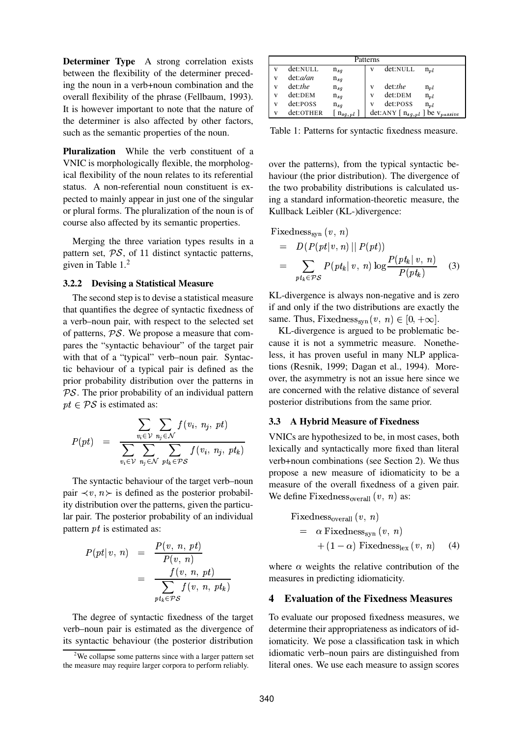**Determiner Type** A strong correlation exists between the flexibility of the determiner preceding the noun in a verb+noun combination and the overall flexibility of the phrase (Fellbaum, 1993). It is however important to note that the nature of the determiner is also affected by other factors, such as the semantic properties of the noun.

**Pluralization** While the verb constituent of a VNIC is morphologically flexible, the morphological flexibility of the noun relates to its referential status. A non-referential noun constituent is expected to mainly appear in just one of the singular or plural forms. The pluralization of the noun is of course also affected by its semantic properties.

Merging the three variation types results in a pattern set,  $\mathcal{PS}$ , of 11 distinct syntactic patterns, given in Table 1.<sup>2</sup>

#### **3.2.2 Devising a Statistical Measure**

The second step is to devise a statistical measure that quantifies the degree of syntactic fixedness of a verb–noun pair, with respect to the selected set of patterns,  $\mathcal{PS}$ . We propose a measure that compares the "syntactic behaviour" of the target pair with that of a "typical" verb–noun pair. Syntactic behaviour of a typical pair is defined as the prior probability distribution over the patterns in  $PS$ . The prior probability of an individual pattern  $pt \in PS$  is estimated as:

$$
P(pt) = \frac{\sum_{v_i \in \mathcal{V}} \sum_{n_j \in \mathcal{N}} f(v_i, n_j, pt)}{\sum_{v_i \in \mathcal{V}} \sum_{n_j \in \mathcal{N}} \sum_{pt_k \in \mathcal{PS}} f(v_i, n_j, pt_k)}
$$

The syntactic behaviour of the target verb–noun pair  $\prec v, n \succ$  is defined as the posterior probability distribution over the patterns, given the particular pair. The posterior probability of an individual pattern  $pt$  is estimated as:

$$
P(pt | v, n) = \frac{P(v, n, pt)}{P(v, n)}
$$
  
= 
$$
\frac{f(v, n, pt)}{\sum_{pt_k \in \mathcal{PS} } f(v, n, pt_k)}
$$

The degree of syntactic fixedness of the target verb–noun pair is estimated as the divergence of its syntactic behaviour (the posterior distribution

| Patterns |            |                      |   |                       |                    |  |  |  |
|----------|------------|----------------------|---|-----------------------|--------------------|--|--|--|
| v        | det:NULL   | $n_{sq}$             | V | det:NULL              | $n_{nl}$           |  |  |  |
| v        | det: a/an  | $n_{sq}$             |   |                       |                    |  |  |  |
| v        | $det:$ the | $n_{sq}$             |   | $det:$ the            | $n_{pl}$           |  |  |  |
| v        | det:DEM    | $n_{sq}$             | v | det:DEM               | $n_{pl}$           |  |  |  |
| v        | det:POSS   | $n_{sq}$             | v | det:POSS              | $n_{pl}$           |  |  |  |
| v        | det:OTHER  | $\mathbf{n}_{sq,pl}$ |   | det:ANY $[n_{sg,pl}]$ | ] be $v_{passive}$ |  |  |  |

Table 1: Patterns for syntactic fixedness measure.

over the patterns), from the typical syntactic behaviour (the prior distribution). The divergence of the two probability distributions is calculated using a standard information-theoretic measure, the Kullback Leibler (KL-)divergence:

Fixedness<sub>syn</sub> 
$$
(v, n)
$$
  
=  $D(P(pt|v, n) || P(pt))$   
= 
$$
\sum_{pt_k \in PS} P(pt_k | v, n) \log \frac{P(pt_k | v, n)}{P(pt_k)}
$$
(3)

KL-divergence is always non-negative and is zero if and only if the two distributions are exactly the same. Thus, Fixedness<sub>syn</sub> $(v, n) \in [0, +\infty]$ .

KL-divergence is argued to be problematic because it is not a symmetric measure. Nonetheless, it has proven useful in many NLP applications (Resnik, 1999; Dagan et al., 1994). Moreover, the asymmetry is not an issue here since we are concerned with the relative distance of several posterior distributions from the same prior.

#### **3.3 A Hybrid Measure of Fixedness**

VNICs are hypothesized to be, in most cases, both lexically and syntactically more fixed than literal verb+noun combinations (see Section 2). We thus propose a new measure of idiomaticity to be a measure of the overall fixedness of a given pair. We define Fixedness<sub>overall</sub>  $(v, n)$  as:

Fixedness<sub>overall</sub> 
$$
(v, n)
$$
  
=  $\alpha$  Fixedness<sub>syn</sub>  $(v, n)$   
+  $(1 - \alpha)$  Fixedness<sub>lex</sub>  $(v, n)$  (4)

where  $\alpha$  weights the relative contribution of the measures in predicting idiomaticity.

## **4 Evaluation of the Fixedness Measures**

To evaluate our proposed fixedness measures, we determine their appropriateness as indicators of idiomaticity. We pose a classification task in which idiomatic verb–noun pairs are distinguished from literal ones. We use each measure to assign scores

 $2$ We collapse some patterns since with a larger pattern set the measure may require larger corpora to perform reliably.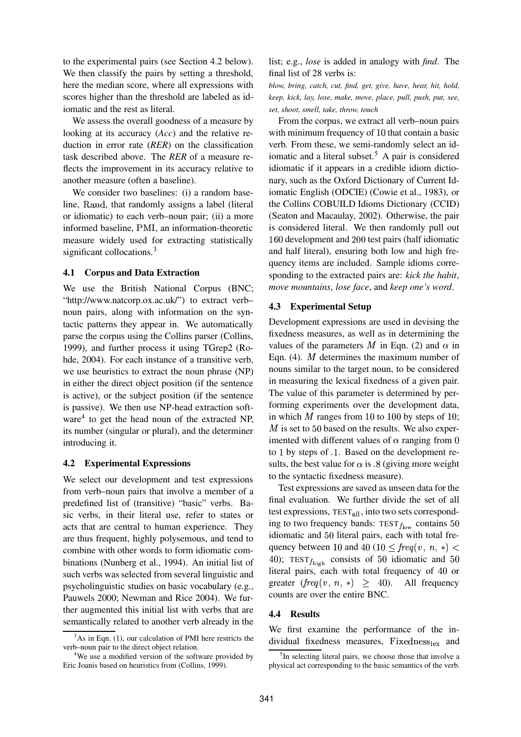to the experimental pairs (see Section 4.2 below). We then classify the pairs by setting a threshold, here the median score, where all expressions with scores higher than the threshold are labeled as idiomatic and the rest as literal.

We assess the overall goodness of a measure by looking at its accuracy (*Acc*) and the relative reduction in error rate (*RER*) on the classification task described above. The *RER* of a measure reflects the improvement in its accuracy relative to another measure (often a baseline).

We consider two baselines: (i) a random baseline, Rand, that randomly assigns a label (literal or idiomatic) to each verb–noun pair; (ii) a more informed baseline, PMI, an information-theoretic measure widely used for extracting statistically significant collocations.<sup>3</sup>

## **4.1 Corpus and Data Extraction**

We use the British National Corpus (BNC; "http://www.natcorp.ox.ac.uk/") to extract verb– noun pairs, along with information on the syntactic patterns they appear in. We automatically parse the corpus using the Collins parser (Collins, 1999), and further process it using TGrep2 (Rohde, 2004). For each instance of a transitive verb, we use heuristics to extract the noun phrase (NP) in either the direct object position (if the sentence is active), or the subject position (if the sentence is passive). We then use NP-head extraction software<sup>4</sup> to get the head noun of the extracted NP, its number (singular or plural), and the determiner introducing it.

#### **4.2 Experimental Expressions**

We select our development and test expressions from verb–noun pairs that involve a member of a predefined list of (transitive) "basic" verbs. Basic verbs, in their literal use, refer to states or acts that are central to human experience. They are thus frequent, highly polysemous, and tend to combine with other words to form idiomatic combinations (Nunberg et al., 1994). An initial list of such verbs was selected from several linguistic and psycholinguistic studies on basic vocabulary (e.g., Pauwels 2000; Newman and Rice 2004). We further augmented this initial list with verbs that are semantically related to another verb already in the list; e.g., *lose* is added in analogy with *find*. The final list of 28 verbs is:

*blow, bring, catch, cut, find, get, give, have, hear, hit, hold, keep, kick, lay, lose, make, move, place, pull, push, put, see, set, shoot, smell, take, throw, touch*

From the corpus, we extract all verb–noun pairs with minimum frequency of  $10$  that contain a basic verb. From these, we semi-randomly select an idiomatic and a literal subset.<sup>5</sup> A pair is considered idiomatic if it appears in a credible idiom dictionary, such as the Oxford Dictionary of Current Idiomatic English (ODCIE) (Cowie et al., 1983), or the Collins COBUILD Idioms Dictionary (CCID) (Seaton and Macaulay, 2002). Otherwise, the pair is considered literal. We then randomly pull out 160 development and 200 test pairs (half idiomatic and half literal), ensuring both low and high frequency items are included. Sample idioms corresponding to the extracted pairs are: *kick the habit*, *move mountains*, *lose face*, and *keep one's word*.

#### **4.3 Experimental Setup**

Development expressions are used in devising the fixedness measures, as well as in determining the values of the parameters M in Eqn. (2) and  $\alpha$  in Eqn.  $(4)$ . *M* determines the maximum number of nouns similar to the target noun, to be considered in measuring the lexical fixedness of a given pair. The value of this parameter is determined by performing experiments over the development data, in which  $M$  ranges from 10 to 100 by steps of 10;  $M$  is set to 50 based on the results. We also experimented with different values of  $\alpha$  ranging from 0 to 1 by steps of .1. Based on the development results, the best value for  $\alpha$  is  $\alpha$  (giving more weight to the syntactic fixedness measure).

Test expressions are saved as unseen data for the final evaluation. We further divide the set of all test expressions,  $TEST_{all}$ , into two sets corresponding to two frequency bands:  $TEST_{f_{low}}$  contains 50 idiomatic and 50 literal pairs, each with total frequency between 10 and 40 (10  $\leq freq(v, n, *)$ ) 40); TEST $f_{\text{high}}$  consists of 50 idiomatic and 50 literal pairs, each with total frequency of 40 or greater  $(freq(v, n, *) \geq 40)$ . All frequency counts are over the entire BNC.

#### **4.4 Results**

We first examine the performance of the individual fixedness measures, Fixedness $_{\text{lex}}$  and

 $3$ As in Eqn. (1), our calculation of PMI here restricts the verb–noun pair to the direct object relation.

<sup>&</sup>lt;sup>4</sup>We use a modified version of the software provided by Eric Joanis based on heuristics from (Collins, 1999).

<sup>&</sup>lt;sup>5</sup>In selecting literal pairs, we choose those that involve a physical act corresponding to the basic semantics of the verb.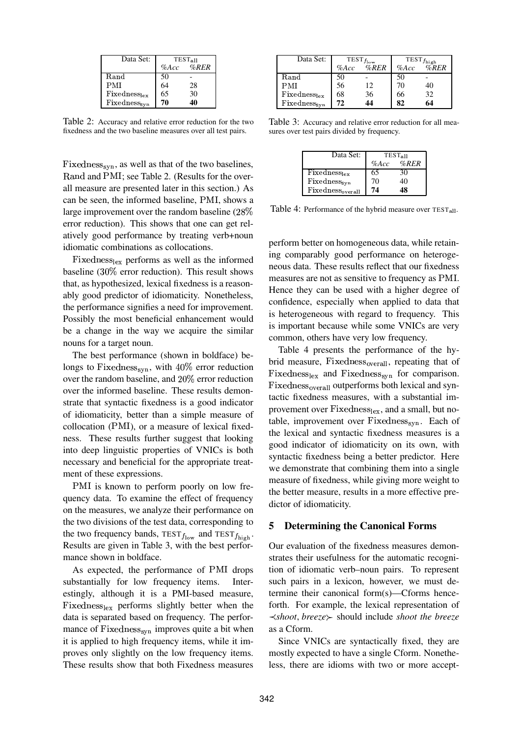| Data Set:                | <b>TEST<sub>all</sub></b> |                   |
|--------------------------|---------------------------|-------------------|
|                          |                           | $\%$ Acc $\%$ RER |
| Rand                     | 50                        |                   |
| PMI                      | 64                        | 28                |
| $Fixedness_{lex}$        | 65                        | 30                |
| Fixedness <sub>syn</sub> | 70                        |                   |

Table 2: Accuracy and relative error reduction for the two fixedness and the two baseline measures over all test pairs.

Fixedness<sub>syn</sub>, as well as that of the two baselines, Rand and PMI; see Table 2. (Results for the overall measure are presented later in this section.) As can be seen, the informed baseline, PMI, shows a large improvement over the random baseline  $(28\%$ error reduction). This shows that one can get relatively good performance by treating verb+noun idiomatic combinations as collocations.

Fixedness $_{\text{lex}}$  performs as well as the informed baseline  $(30\%$  error reduction). This result shows that, as hypothesized, lexical fixedness is a reasonably good predictor of idiomaticity. Nonetheless, the performance signifies a need for improvement. Possibly the most beneficial enhancement would be a change in the way we acquire the similar nouns for a target noun.

The best performance (shown in boldface) belongs to Fixedness<sub>syn</sub>, with  $40\%$  error reduction over the random baseline, and  $20\%$  error reduction over the informed baseline. These results demonstrate that syntactic fixedness is a good indicator of idiomaticity, better than a simple measure of  $collocation$  ( $PMI$ ), or a measure of lexical fixedness. These results further suggest that looking into deep linguistic properties of VNICs is both necessary and beneficial for the appropriate treatment of these expressions.

PMI is known to perform poorly on low frequency data. To examine the effect of frequency on the measures, we analyze their performance on the two divisions of the test data, corresponding to the two frequency bands,  $TEST_{f_{\text{low}}}$  and  $TEST_{f_{\text{high}}}$ . Results are given in Table 3, with the best performance shown in boldface.

As expected, the performance of PMI drops substantially for low frequency items. Interestingly, although it is a PMI-based measure, Fixedness $_{lex}$  performs slightly better when the data is separated based on frequency. The performance of  $Fixedness<sub>syn</sub>$  improves quite a bit when it is applied to high frequency items, while it improves only slightly on the low frequency items. These results show that both Fixedness measures

| Data Set:                | $\mathrm{TEST}_{f_{\mathrm{low}}}$ |      | $\text{TEST}_{f_\text{high}}$ |      |
|--------------------------|------------------------------------|------|-------------------------------|------|
|                          | $\%$ Acc                           | %RER | $\%$ Acc                      | %RER |
| Rand                     | 50                                 |      | 50                            |      |
| PMI                      | 56                                 | 12   | 70                            | 40   |
| $Fixedness_{lex}$        | 68                                 | 36   | 66                            | 32   |
| Fixedness <sub>syn</sub> | 72                                 | 14   | 82                            | 64   |

Table 3: Accuracy and relative error reduction for all measures over test pairs divided by frequency.

| Data Set:                    | <b>TEST<sub>all</sub></b> |      |  |
|------------------------------|---------------------------|------|--|
|                              | $\%$ Acc                  | %RER |  |
| $Fixedness_{lex}$            | 65                        | 30   |  |
| Fixedness <sub>syn</sub>     | 70                        | 40   |  |
| Fixedness <sub>overall</sub> | 74                        |      |  |

Table 4: Performance of the hybrid measure over TEST<sub>all</sub>.

perform better on homogeneous data, while retaining comparably good performance on heterogeneous data. These results reflect that our fixedness measures are not as sensitive to frequency as PMI. Hence they can be used with a higher degree of confidence, especially when applied to data that is heterogeneous with regard to frequency. This is important because while some VNICs are very common, others have very low frequency.

Table 4 presents the performance of the hybrid measure, Fixedness<sub>overall</sub>, repeating that of Fixedness $_{lex}$  and Fixedness<sub>syn</sub> for comparison. Fixedness<sub>overall</sub> outperforms both lexical and syntactic fixedness measures, with a substantial improvement over  $Fixedness<sub>lex</sub>$ , and a small, but notable, improvement over  $Fixedness<sub>syn</sub>$ . Each of the lexical and syntactic fixedness measures is a good indicator of idiomaticity on its own, with syntactic fixedness being a better predictor. Here we demonstrate that combining them into a single measure of fixedness, while giving more weight to the better measure, results in a more effective predictor of idiomaticity.

## **5 Determining the Canonical Forms**

Our evaluation of the fixedness measures demonstrates their usefulness for the automatic recognition of idiomatic verb–noun pairs. To represent such pairs in a lexicon, however, we must determine their canonical form(s)—Cforms henceforth. For example, the lexical representation of *shoot*, *breeze*% should include *shoot the breeze* as a Cform.

Since VNICs are syntactically fixed, they are mostly expected to have a single Cform. Nonetheless, there are idioms with two or more accept-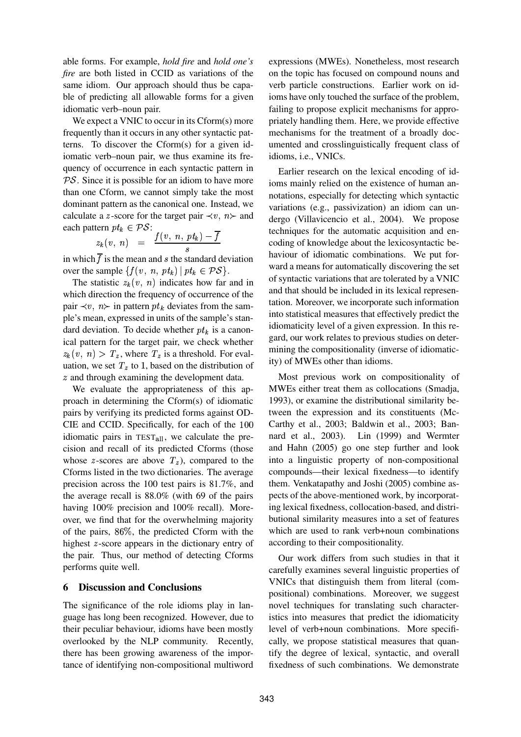able forms. For example, *hold fire* and *hold one's fire* are both listed in CCID as variations of the same idiom. Our approach should thus be capable of predicting all allowable forms for a given idiomatic verb–noun pair.

We expect a VNIC to occur in its Cform(s) more frequently than it occurs in any other syntactic patterns. To discover the Cform(s) for a given idiomatic verb–noun pair, we thus examine its frequency of occurrence in each syntactic pattern in  $PS$ . Since it is possible for an idiom to have more than one Cform, we cannot simply take the most dominant pattern as the canonical one. Instead, we calculate a *z*-score for the target pair  $\prec v$ ,  $n \succ$  and each pattern  $pt_k \in \mathcal{PS}$ :

$$
z_k(v, n) = \frac{f(v, n, pt_k) - \overline{f}}{s}
$$

in which  $f$  is the mean and  $s$  the standard deviation over the sample  $\{f(v, n, pt_k) \mid pt_k \in PS\}.$ 

The statistic  $z_k(v, n)$  indicates how far and in which direction the frequency of occurrence of the pair  $\prec v$ ,  $n \succ$  in pattern  $pt_k$  deviates from the sample's mean, expressed in units of the sample's standard deviation. To decide whether  $pt_k$  is a canonical pattern for the target pair, we check whether  $z_k(v, n) > T_z$ , where  $T_z$  is a threshold. For evaluation, we set  $T<sub>z</sub>$  to 1, based on the distribution of  $z$  and through examining the development data.

We evaluate the appropriateness of this approach in determining the Cform(s) of idiomatic pairs by verifying its predicted forms against OD-CIE and CCID. Specifically, for each of the 100 idiomatic pairs in  $TEST_{all}$ , we calculate the precision and recall of its predicted Cforms (those whose *z*-scores are above  $T_z$ ), compared to the Cforms listed in the two dictionaries. The average precision across the 100 test pairs is 81.7%, and the average recall is 88.0% (with 69 of the pairs having 100% precision and 100% recall). Moreover, we find that for the overwhelming majority of the pairs,  $86\%$ , the predicted Cform with the highest  $z$ -score appears in the dictionary entry of the pair. Thus, our method of detecting Cforms performs quite well.

## **6 Discussion and Conclusions**

The significance of the role idioms play in language has long been recognized. However, due to their peculiar behaviour, idioms have been mostly overlooked by the NLP community. Recently, there has been growing awareness of the importance of identifying non-compositional multiword

expressions (MWEs). Nonetheless, most research on the topic has focused on compound nouns and verb particle constructions. Earlier work on idioms have only touched the surface of the problem, failing to propose explicit mechanisms for appropriately handling them. Here, we provide effective mechanisms for the treatment of a broadly documented and crosslinguistically frequent class of idioms, i.e., VNICs.

Earlier research on the lexical encoding of idioms mainly relied on the existence of human annotations, especially for detecting which syntactic variations (e.g., passivization) an idiom can undergo (Villavicencio et al., 2004). We propose techniques for the automatic acquisition and encoding of knowledge about the lexicosyntactic behaviour of idiomatic combinations. We put forward a means for automatically discovering the set of syntactic variations that are tolerated by a VNIC and that should be included in its lexical representation. Moreover, we incorporate such information into statistical measures that effectively predict the idiomaticity level of a given expression. In this regard, our work relates to previous studies on determining the compositionality (inverse of idiomaticity) of MWEs other than idioms.

Most previous work on compositionality of MWEs either treat them as collocations (Smadja, 1993), or examine the distributional similarity between the expression and its constituents (Mc-Carthy et al., 2003; Baldwin et al., 2003; Bannard et al., 2003). Lin (1999) and Wermter and Hahn (2005) go one step further and look into a linguistic property of non-compositional compounds—their lexical fixedness—to identify them. Venkatapathy and Joshi (2005) combine aspects of the above-mentioned work, by incorporating lexical fixedness, collocation-based, and distributional similarity measures into a set of features which are used to rank verb+noun combinations according to their compositionality.

Our work differs from such studies in that it carefully examines several linguistic properties of VNICs that distinguish them from literal (compositional) combinations. Moreover, we suggest novel techniques for translating such characteristics into measures that predict the idiomaticity level of verb+noun combinations. More specifically, we propose statistical measures that quantify the degree of lexical, syntactic, and overall fixedness of such combinations. We demonstrate